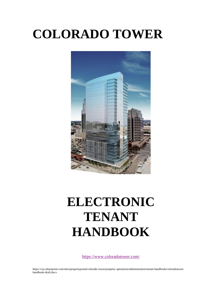# **COLORADO TOWER**



# **ELECTRONIC TENANT HANDBOOK**

<https://www.coloradotower.com/>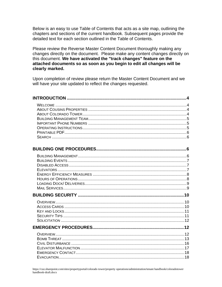Below is an easy to use Table of Contents that acts as a site map, outlining the chapters and sections of the current handbook. Subsequent pages provide the detailed text for each section outlined in the Table of Contents.

Please review the Reverse Master Content Document thoroughly making any changes directly on the document. Please make any content changes directly on this document. We have activated the "track changes" feature on the attached documents so as soon as you begin to edit all changes will be clearly marked.

Upon completion of review please return the Master Content Document and we will have your site updated to reflect the changes requested.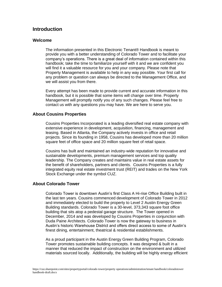# **Introduction**

## **Welcome**

The information presented in this Electronic Tenant® Handbook is meant to provide you with a better understanding of Colorado Tower and to facilitate your company's operations. There is a great deal of information contained within this handbook; take the time to familiarize yourself with it and we are confident you will find it a valuable resource for you and your company. Please note that Property Management is available to help in any way possible. Your first call for any problem or question can always be directed to the Management Office, and we will assist you from there.

Every attempt has been made to provide current and accurate information in this handbook, but it is possible that some items will change over time. Property Management will promptly notify you of any such changes. Please feel free to contact us with any questions you may have. We are here to serve you.

## **About Cousins Properties**

Cousins Properties Incorporated is a leading diversified real estate company with extensive experience in development, acquisition, financing, management and leasing. Based in Atlanta, the Company actively invests in office and retail projects. Since its founding in 1958, Cousins has developed more than 20 million square feet of office space and 20 million square feet of retail space.

Cousins has built and maintained an industry-wide reputation for innovative and sustainable developments, premium management services and top quality leadership. The Company creates and maintains value in real estate assets for the benefit of shareholders, partners and clients. Cousins Properties is a fully integrated equity real estate investment trust (REIT) and trades on the New York Stock Exchange under the symbol CUZ.

## **About Colorado Tower**

Colorado Tower is downtown Austin's first Class A Hi-rise Office Building built in the last ten years. Cousins commenced development of Colorado Tower in 2012 and immediately elected to build the property to Level 2 Austin Energy Green Building standards. Colorado Tower is a 30-level, 373,343 square foot office building that sits atop a pedestal garage structure. The Tower opened in December, 2014 and was developed by Cousins Properties in conjunction with Duda Paine Architects. Colorado Tower is now the gateway to business in Austin's historic Warehouse District and offers direct access to some of Austin's finest dining, entertainment, theatrical & residential establishments.

As a proud participant in the Austin Energy Green Building Program, Colorado Tower promotes sustainable building concepts. It was designed & built in a manner that reduced the impact of construction on the environment and utilized materials sourced locally. Additionally, the building will be highly energy efficient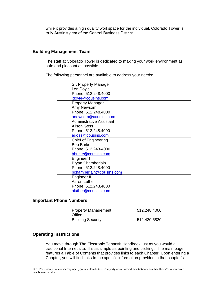while it provides a high quality workspace for the individual. Colorado Tower is truly Austin's gem of the Central Business District.

## **Building Management Team**

The staff at Colorado Tower is dedicated to making your work environment as safe and pleasant as possible.

The following personnel are available to address your needs:

| Sr. Property Manager            |
|---------------------------------|
|                                 |
| Lori Doyle                      |
| Phone: 512.248.4000             |
| Idoyle@cousins.com              |
| <b>Property Manager</b>         |
| Amy Newsom                      |
| Phone: 512,248,4000             |
| anewsom@cousins.com             |
| <b>Administrative Assistant</b> |
| Alison Goss                     |
| Phone: 512.248.4000             |
| agoss@cousins.com               |
| Chief of Engineering            |
| <b>Bob Burke</b>                |
| Phone: 512.248-4000             |
| bburke@cousins.com              |
| Engineer I                      |
| Bryan Chamberlain               |
| Phone: 512.248.4000             |
| bchamberlain@cousins.com        |
| Engineer II                     |
| Aaron Luther                    |
| Phone: 512.248.4000             |
| aluther@cousins.com             |
|                                 |

## **Important Phone Numbers**

| <b>Property Management</b><br>Office | 512.248.4000 |
|--------------------------------------|--------------|
| <b>Building Security</b>             | 512.420.5820 |

## **Operating Instructions**

You move through The Electronic Tenant® Handbook just as you would a traditional Internet site. It's as simple as pointing and clicking. The main page features a Table of Contents that provides links to each Chapter. Upon entering a Chapter, you will find links to the specific information provided in that chapter's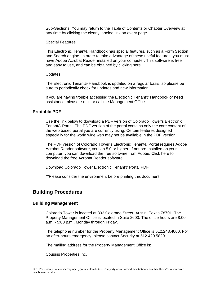Sub-Sections. You may return to the Table of Contents or Chapter Overview at any time by clicking the clearly labeled link on every page.

Special Features

This Electronic Tenant® Handbook has special features, such as a Form Section and Search engine. In order to take advantage of these useful features, you must have Adobe Acrobat Reader installed on your computer. This software is free and easy to use, and can be obtained by clicking here.

#### **Updates**

The Electronic Tenant® Handbook is updated on a regular basis, so please be sure to periodically check for updates and new information.

If you are having trouble accessing the Electronic Tenant® Handbook or need assistance, please e-mail or call the Management Office

## **Printable PDF**

Use the link below to download a PDF version of Colorado Tower's Electronic Tenant® Portal. The PDF version of the portal contains only the core content of the web based portal you are currently using. Certain features designed especially for the world wide web may not be available in the PDF version.

The PDF version of Colorado Tower's Electronic Tenant® Portal requires Adobe Acrobat Reader software, version 5.0 or higher. If not pre-installed on your computer, you can download the free software from Adobe. [Click here to](http://www.adobe.com/products/acrobat/readstep2.html)  [download the free Acrobat Reader software.](http://www.adobe.com/products/acrobat/readstep2.html)

Download Colorado Tower [Electronic Tenant® Portal PDF](http://dimensionalplace.com/Dimensional%20Place%20Electronic%20Tenant%20Handbooks%20v1.pdf)

\*\*Please consider the environment before printing this document.

# **Building Procedures**

## **Building Management**

Colorado Tower is located at 303 Colorado Street, Austin, Texas 78701. The Property Management Office is located in Suite 2600. The office hours are 8:00 a.m. - 5:00 p.m., Monday through Friday.

The telephone number for the Property Management Office is 512.248.4000. For an after-hours emergency, please contact Security at 512.420.5820

The mailing address for the Property Management Office is:

Cousins Properties Inc.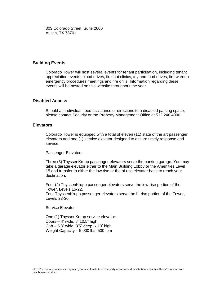303 Colorado Street, Suite 2600 Austin, TX 78701

## **Building Events**

Colorado Tower will host several events for tenant participation, including tenant appreciation events, blood drives, flu shot clinics, toy and food drives, fire warden emergency procedures meetings and fire drills. Information regarding these events will be posted on this website throughout the year.

## **Disabled Access**

Should an individual need assistance or directions to a disabled parking space, please contact Security or the Property Management Office at 512.248.4000.

## **Elevators**

Colorado Tower is equipped with a total of eleven (11) state of the art passenger elevators and one (1) service elevator designed to assure timely response and service.

Passenger Elevators

Three (3) ThyssenKrupp passenger elevators serve the parking garage. You may take a garage elevator either to the Main Building Lobby or the Amenities Level 15 and transfer to either the low rise or the hi-rise elevator bank to reach your destination.

Four (4) ThyssenKrupp passenger elevators serve the low-rise portion of the Tower, Levels 15-22. Four ThyssenKrupp passenger elevators serve the hi-rise portion of the Tower, Levels 23-30.

Service Elevator

One (1) ThyssenKrupp service elevator: Doors – 4' wide, 8' 10.5" high Cab – 5'8" wide, 8'5" deep, x 10' high Weight Capacity – 5,000 lbs, 500 fpm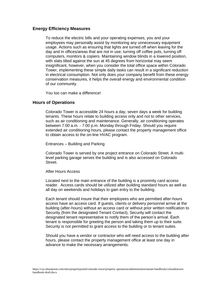## **Energy Efficiency Measures**

To reduce the electric bills and your operating expenses, you and your employees may personally assist by monitoring any unnecessary equipment usage. Actions such as ensuring that lights are turned off when leaving for the day and in offices/areas that are not in use; turning off coffee pots, turning off computers, monitors & copiers. Maintaining window blinds in a lowered position, with slats tilted against the sun at 45 degrees from horizontal may seem insignificant, however, when you consider the total office space within Colorado Tower, implementing these simple daily tasks can result in a significant reduction in electrical consumption. Not only does your company benefit from these energy conservation measures, it helps the overall energy and environmental condition of our community.

You too can make a difference!

### **Hours of Operations**

Colorado Tower is accessible 24 hours a day, seven days a week for building tenants. These hours relate to building access only and not to other services, such as air conditioning and maintenance. Generally, air conditioning operates between 7:00 a.m. - 7:00 p.m. Monday through Friday. Should you require extended air conditioning hours, please contact the property management office to obtain access to the on-line HVAC program.

Entrances – Building and Parking

Colorado Tower is served by one project entrance on Colorado Street. A multilevel parking garage serves the building and is also accessed on Colorado Street.

#### After Hours Access

Located next to the main entrance of the building is a proximity card access reader. Access cards should be utilized after building standard hours as well as all day on weekends and holidays to gain entry to the building.

Each tenant should insure that their employees who are permitted after-hours access have an access card. If guests, clients or delivery personnel arrive at the building (after-hours) without an access card or without prior written notification to Security (from the designated Tenant Contact), Security will contact the designated tenant representative to notify them of the person's arrival. Each tenant is responsible for greeting the person and taking them up to their suite. Security is not permitted to grant access to the building or to tenant suites.

Should you have a vendor or contractor who will need access to the building after hours, please contact the property management office at least one day in advance to make the necessary arrangements.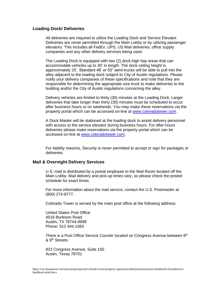## **Loading Dock/ Deliveries**

All deliveries are required to utilize the Loading Dock and Service Elevator. Deliveries are never permitted through the Main Lobby or by utilizing passenger elevators. This includes all FedEx, UPS, US Mail deliveries, office supply companies and any other delivery services being used.

The Loading Dock is equipped with two (2) dock-high bay areas that can accommodate vehicles up to 30' in length. The dock ceiling height is approximately 25'. Standard 48' or 53" semi-trucks will be able to pull into the alley adjacent to the loading dock subject to City of Austin regulations. Please notify your delivery companies of these specifications and note that they are responsible for determining the appropriate size truck to make deliveries to the building and/or the City of Austin regulations concerning the alley.

Delivery vehicles are limited to thirty (30) minutes at the Loading Dock. Larger deliveries that take longer than thirty (30) minutes must be scheduled to occur after business hours or on weekends. You may make these reservations via the property portal which can be accessed on-line at www.color[adotower.com.](http://www.coloadotower.com/)

A Dock Master will be stationed at the loading dock to assist delivery personnel with access to the service elevator during business hours. For after-hours deliveries please make reservations via the property portal which can be accessed on-line at [www.coloradotower.com.](http://www.coloradotower.com/)

For liability reasons, Security is never permitted to accept or sign for packages or deliveries.

#### **Mail & Overnight Delivery Services**

U.S. mail is distributed by a postal employee to the Mail Room located off the Main Lobby. Mail delivery and pick-up times vary, so please check the posted schedule for exact times.

For more information about the mail service, contact the U.S. Postmaster at (800) 274-8777.

Colorado Tower is served by the main post office at the following address:

United States Post Office 4516 Burleson Road Austin, TX 78744-9998 Phone: 512 444.1083

There is a Post Office Service Counter located on Congress Avenue between 8<sup>th</sup> & 9th Streets:

823 Congress Avenue, Suite 150 Austin, Texas 78701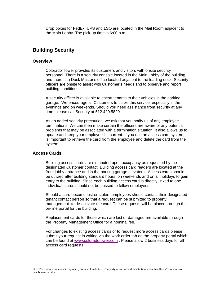Drop boxes for FedEx, UPS and LSO are located in the Mail Room adjacent to the Main Lobby. The pick-up time is 6:00 p.m.

# **Building Security**

#### **Overview**

Colorado Tower provides its customers and visitors with onsite security personnel. There is a security console located in the Main Lobby of the building and there is a Dock Master's office located adjacent to the loading dock. Security officers are onsite to assist with Customer's needs and to observe and report building conditions.

A security officer is available to escort tenants to their vehicles in the parking garage. We encourage all Customers to utilize this service, especially in the evenings and on weekends. Should you need assistance from security at any time, please call Security at 512.420.5820

As an added security precaution, we ask that you notify us of any employee terminations. We can then make certain the officers are aware of any potential problems that may be associated with a termination situation. It also allows us to update and keep your employee list current. If you use an access card system, it is important to retrieve the card from the employee and delete the card from the system.

## **Access Cards**

Building access cards are distributed upon occupancy as requested by the designated Customer contact. Building access card readers are located at the front lobby entrance and in the parking garage elevators. Access cards should be utilized after building standard hours, on weekends and on all holidays to gain entry to the building. Since each building access card is directly linked to one individual, cards should not be passed to fellow employees.

Should a card become lost or stolen, employees should contact their designated tenant contact person so that a request can be submitted to property management to de-activate the card. These requests will be placed through the on-line portal for the building.

Replacement cards for those which are lost or damaged are available through the Property Management Office for a nominal fee.

For changes to existing access cards or to request more access cards please submit your request in writing via the work order tab on the property portal which can be found at [www.coloradotower.com](http://www.coloradotower.com/) . Please allow 2 business days for all access card requests.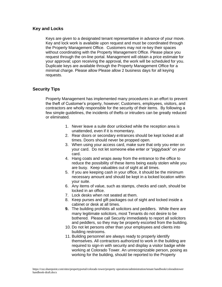## **Key and Locks**

Keys are given to a designated tenant representative in advance of your move. Key and lock work is available upon request and must be coordinated through the Property Management Office. Customers may not re-key their spaces without coordinating with the Property Management Office. Please place you request through the on-line portal. Management will obtain a price estimate for your approval; upon receiving the approval, the work will be scheduled for you. Duplicate keys are available through the Property Management Office for a minimal charge. Please allow Please allow 2 business days for all keying requests.

## **Security Tips**

Property Management has implemented many procedures in an effort to prevent the theft of Customer's property, however; Customers, employees, visitors, and contractors are wholly responsible for the security of their items. By following a few simple guidelines, the incidents of thefts or intruders can be greatly reduced or eliminated.

- 1. Never leave a suite door unlocked while the reception area is unattended, even if it is momentary.
- 2. Rear doors or secondary entrances should be kept locked at all times. Doors should never be propped open.
- 3. When using your access card, make sure that only you enter on your card. Do not let someone else enter or "piggyback" on your card.
- 4. Hang coats and wraps away from the entrance to the office to reduce the possibility of these items being easily stolen while you are busy. Keep valuables out of sight at all times.
- 5. If you are keeping cash in your office, it should be the minimum necessary amount and should be kept in a locked location within your suite.
- 6. Any items of value, such as stamps, checks and cash, should be locked in an office.
- 7. Lock desks when not seated at them.
- 8. Keep purses and gift packages out of sight and locked inside a cabinet or desk at all times.
- **9.** The building prohibits all solicitors and peddlers. While there are many legitimate solicitors, most Tenants do not desire to be bothered. Please call Security immediately to report all solicitors and peddlers, so they may be properly escorted from the building.
- 10. Do not let persons other than your employees and clients into building restrooms.
- 11. Building personnel are always ready to properly identify themselves. All contractors authorized to work in the building are required to sign-in with security and display a visitor badge while working at Colorado Tower. An unrecognizable person, posing as working for the building, should be reported to the Property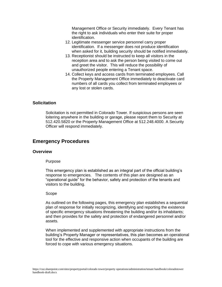Management Office or Security immediately. Every Tenant has the right to ask individuals who enter their suite for proper identification.

- 12. Legitimate messenger service personnel carry proper identification. If a messenger does not produce identification when asked for it, building security should be notified immediately.
- 13. Receptionist should be instructed to keep all visitors in the reception area and to ask the person being visited to come out and greet the visitor. This will reduce the possibility of unauthorized people entering a Tenant space.
- 14. Collect keys and access cards from terminated employees. Call the Property Management Office immediately to deactivate card numbers of all cards you collect from terminated employees or any lost or stolen cards.

## **Solicitation**

Solicitation is not permitted in Colorado Tower. If suspicious persons are seen loitering anywhere in the building or garage, please report them to Security at 512.420.5820 or the Property Management Office at 512.248.4000. A Security Officer will respond immediately.

# **Emergency Procedures**

## **Overview**

#### Purpose

This emergency plan is established as an integral part of the official building's response to emergencies. The contents of this plan are designed as an "operational guide" for the behavior, safety and protection of the tenants and visitors to the building.

#### Scope

As outlined on the following pages, this emergency plan establishes a sequential plan of response for initially recognizing, identifying and reporting the existence of specific emergency situations threatening the building and/or its inhabitants; and then provides for the safety and protection of endangered personnel and/or assets.

When implemented and supplemented with appropriate instructions from the building's Property Manager or representatives, this plan becomes an operational tool for the effective and responsive action when occupants of the building are forced to cope with various emergency situations.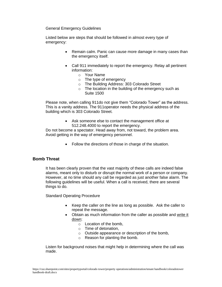General Emergency Guidelines

Listed below are steps that should be followed in almost every type of emergency:

- Remain calm. Panic can cause more damage in many cases than the emergency itself.
- Call 911 immediately to report the emergency. Relay all pertinent information:
	- o Your Name
	- o The type of emergency
	- o The Building Address: 303 Colorado Street
	- $\circ$  The location in the building of the emergency such as Suite 1500

Please note, when calling 911do not give them "Colorado Tower" as the address. This is a vanity address. The 911operator needs the physical address of the building which is 303 Colorado Street.

> • Ask someone else to contact the management office at 512.248.4000 to report the emergency.

Do not become a spectator. Head away from, not toward, the problem area. Avoid getting in the way of emergency personnel.

• Follow the directions of those in charge of the situation.

## **Bomb Threat**

It has been clearly proven that the vast majority of these calls are indeed false alarms, meant only to disturb or disrupt the normal work of a person or company. However, at no time should any call be regarded as just another false alarm. The following guidelines will be useful. When a call is received, there are several things to do.

Standard Operating Procedure

- Keep the caller on the line as long as possible. Ask the caller to repeat the message.
- Obtain as much information from the caller as possible and write it down:
	- o Location of the bomb,
	- o Time of detonation,
	- o Outside appearance or description of the bomb,
	- o Reason for planting the bomb.

Listen for background noises that might help in determining where the call was made.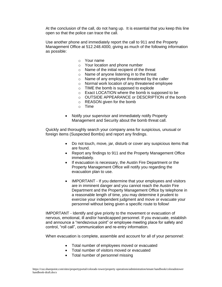At the conclusion of the call, do not hang up. It is essential that you keep this line open so that the police can trace the call.

Use another phone and immediately report the call to 911 and the Property Management Office at 512.248.4000, giving as much of the following information as possible:

- o Your name
- o Your location and phone number
- o Name of the initial recipient of the threat
- o Name of anyone listening in to the threat
- o Name of any employee threatened by the caller
- o Normal work location of any threatened employee
- o TIME the bomb is supposed to explode
- o Exact LOCATION where the bomb is supposed to be
- o OUTSIDE APPEARANCE or DESCRIPTION of the bomb
- o REASON given for the bomb
- o Time
- Notify your supervisor and immediately notify Property Management and Security about the bomb threat call.

Quickly and thoroughly search your company area for suspicious, unusual or foreign items (Suspected Bombs) and report any findings.

- Do not touch, move, jar, disturb or cover any suspicious items that are found.
- Report any findings to 911 and the Property Management Office immediately.
- If evacuation is necessary, the Austin Fire Department or the Property Management Office will notify you regarding the evacuation plan to use.
- IMPORTANT If you determine that your employees and visitors are in imminent danger and you cannot reach the Austin Fire Department and the Property Management Office by telephone in a reasonable length of time, you may determine it prudent to exercise your independent judgment and move or evacuate your personnel without being given a specific route to follow!

IMPORTANT - Identify and give priority to the movement or evacuation of nervous, emotional, ill and/or handicapped personnel. If you evacuate, establish and announce a "rendezvous point" or employee meeting place for safety and control, "roll call", communication and re-entry information.

When evacuation is complete, assemble and account for all of your personnel:

- Total number of employees moved or evacuated
- Total number of visitors moved or evacuated
- Total number of personnel missing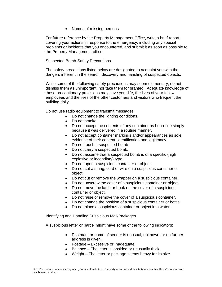• Names of missing persons

For future reference by the Property Management Office, write a brief report covering your actions in response to the emergency, including any special problems or incidents that you encountered, and submit it as soon as possible to the Property Management office.

### Suspected Bomb-Safety Precautions

The safety precautions listed below are designated to acquaint you with the dangers inherent in the search, discovery and handling of suspected objects.

While some of the following safety precautions may seem elementary, do not dismiss them as unimportant, nor take them for granted. Adequate knowledge of these precautionary provisions may save your life, the lives of your fellow employees and the lives of the other customers and visitors who frequent the building daily.

Do not use radio equipment to transmit messages.

- Do not change the lighting conditions.
- Do not smoke.
- Do not accept the contents of any container as bona-fide simply because it was delivered in a routine manner.
- Do not accept container markings and/or appearances as sole evidence of their content, identification and legitimacy.
- Do not touch a suspected bomb
- Do not carry a suspected bomb.
- Do not assume that a suspected bomb is of a specific (high explosive or incendiary) type.
- Do not open a suspicious container or object.
- Do not cut a string, cord or wire on a suspicious container or object.
- Do not cut or remove the wrapper on a suspicious container.
- Do not unscrew the cover of a suspicious container or object.
- Do not move the latch or hook on the cover of a suspicious container or object.
- Do not raise or remove the cover of a suspicious container.
- Do not change the position of a suspicious container or bottle.
- Do not place a suspicious container or object into water.

Identifying and Handling Suspicious Mail/Packages

A suspicious letter or parcel might have some of the following indicators:

- Postmark or name of sender is unusual, unknown, or no further address is given.
- Postage Excessive or Inadequate.
- Balance The letter is lopsided or unusually thick.
- Weight The letter or package seems heavy for its size.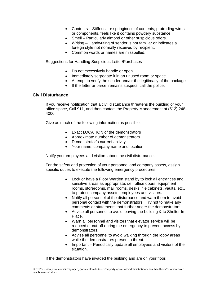- Contents Stiffness or springiness of contents; protruding wires or components, feels like it contains powdery substance.
- Smell Particularly almond or other suspicious odors.
- Writing Handwriting of sender is not familiar or indicates a foreign style not normally received by recipient.
- Common words or names are misspelled.

Suggestions for Handling Suspicious Letter/Purchases

- Do not excessively handle or open.
- Immediately segregate it in an unused room or space.
- Attempt to verify the sender and/or the legitimacy of the package.
- If the letter or parcel remains suspect, call the police.

## **Civil Disturbance**

If you receive notification that a civil disturbance threatens the building or your office space, Call 911, and then contact the Property Management at (512) 248- 4000.

Give as much of the following information as possible:

- Exact LOCATION of the demonstrators
- Approximate number of demonstrators
- Demonstrator's current activity
- Your name, company name and location

Notify your employees and visitors about the civil disturbance.

For the safety and protection of your personnel and company assets, assign specific duties to execute the following emergency procedures:

- Lock or have a Floor Warden stand by to lock all entrances and sensitive areas as appropriate; i.e., office doors, equipment rooms, storerooms, mail rooms, desks, file cabinets, vaults, etc., to protect company assets, employees and visitors.
- Notify all personnel of the disturbance and warn them to avoid personal contact with the demonstrators. Try not to make any comments or statements that further anger the demonstrators.
- Advise all personnel to avoid leaving the building & to Shelter In Place.
- Warn all personnel and visitors that elevator service will be reduced or cut-off during the emergency to prevent access by demonstrators.
- Advise all personnel to avoid walking through the lobby areas while the demonstrators present a threat.
- Important Periodically update all employees and visitors of the situation.

If the demonstrators have invaded the building and are on your floor: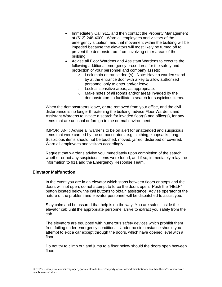- Immediately Call 911, and then contact the Property Management at (512) 248-4000. Warn all employees and visitors of the emergency situation, and that movement within the building will be impeded because the elevators will most likely be turned off to prevent the demonstrators from involving other areas of the building.
- Advise all Floor Wardens and Assistant Wardens to execute the following additional emergency procedures for the safety and protection of your personnel and company assets:
	- o Lock main entrance door(s). Note: Have a warden stand by at the entrance door with a key to allow authorized personnel only to enter and/or leave.
	- o Lock all sensitive areas, as appropriate.
	- o Make notes of all rooms and/or areas invaded by the demonstrators to facilitate a search for suspicious items.

When the demonstrators leave, or are removed from your office, and the civil disturbance is no longer threatening the building, advise Floor Wardens and Assistant Wardens to initiate a search for invaded floor(s) and office(s), for any items that are unusual or foreign to the normal environment.

IMPORTANT: Advise all wardens to be on alert for unattended and suspicious items that were carried by the demonstrators; e.g. clothing, knapsacks, bag. Suspicious items should not be touched, moved, jarred, disturbed or covered. Warn all employees and visitors accordingly.

Request that wardens advise you immediately upon completion of the search whether or not any suspicious items were found, and if so, immediately relay the information to 911 and the Emergency Response Team.

## **Elevator Malfunction**

In the event you are in an elevator which stops between floors or stops and the doors will not open, do not attempt to force the doors open. Push the "HELP" button located below the call buttons to obtain assistance. Advise operator of the nature of the problem and elevator personnel will be dispatched to assist you.

Stay calm and be assured that help is on the way. You are safest inside the elevator cab until the appropriate personnel arrive to extract you safely from the cab.

The elevators are equipped with numerous safety devices which prohibit them from failing under emergency conditions. Under no circumstance should you attempt to exit a car except through the doors, which have opened level with a floor.

Do not try to climb out and jump to a floor below should the doors open between floors.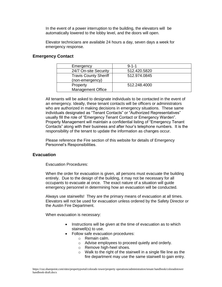In the event of a power interruption to the building, the elevators will be automatically lowered to the lobby level, and the doors will open.

Elevator technicians are available 24 hours a day, seven days a week for emergency response.

## **Emergency Contact**

| Emergency                    | $9 - 1 - 1$  |
|------------------------------|--------------|
| 24/7 On-site Security        | 512.420.5820 |
| <b>Travis County Sheriff</b> | 512.974.0845 |
| (non-emergency)              |              |
| Property                     | 512.248.4000 |
| <b>Management Office</b>     |              |

All tenants will be asked to designate individuals to be contacted in the event of an emergency. Ideally, these tenant contacts will be officers or administrators who are authorized in making decisions in emergency situations. These same individuals designated as "Tenant Contacts" or "Authorized Representatives" usually fill the role of "Emergency Tenant Contact or Emergency Warden". Property Management will maintain a confidential listing of "Emergency Tenant Contacts" along with their business and after hour's telephone numbers. It is the responsibility of the tenant to update the information as changes occur.

Please reference the Fire section of this website for details of Emergency Personnel's Responsibilities.

## **Evacuation**

Evacuation Procedures:

When the order for evacuation is given, all persons must evacuate the building entirely. Due to the design of the building, it may not be necessary for all occupants to evacuate at once. The exact nature of a situation will guide emergency personnel in determining how an evacuation will be conducted.

Always use stairwells! They are the primary means of evacuation at all times. Elevators will not be used for evacuation unless ordered by the Safety Director or the Austin Fire Department.

When evacuation is necessary:

- Instructions will be given at the time of evacuation as to which stairwell(s) to use.
- Follow safe evacuation procedures:
	- o Remain calm.
	- o Advise employees to proceed quietly and orderly.
	- o Remove high-heel shoes.
	- $\circ$  Walk to the right of the stairwell in a single file line as the fire department may use the same stairwell to gain entry.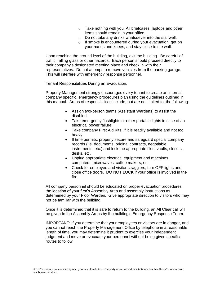- o Take nothing with you. All briefcases, laptops and other items should remain in your office.
- o Do not take any drinks whatsoever into the stairwell.
- o If smoke is encountered during your evacuation, get on your hands and knees, and stay close to the wall.

Upon reaching the ground level of the building, exit the building. Be careful of traffic, falling glass or other hazards. Each person should proceed directly to their company's designated meeting place and check in with their representatives. Do not attempt to remove vehicles from the parking garage. This will interfere with emergency response personnel.

Tenant Responsibilities During an Evacuation:

Property Management strongly encourages every tenant to create an internal, company specific, emergency procedures plan using the guidelines outlined in this manual. Areas of responsibilities include, but are not limited to, the following:

- Assign two-person teams (Assistant Wardens) to assist the disabled.
- Take emergency flashlights or other portable lights in case of an electrical power failure.
- Take company First Aid Kits, if it is readily available and not too heavy.
- If time permits, properly secure and safeguard special company records (i.e. documents, original contracts, negotiable instruments, etc.) and lock the appropriate files, vaults, closets, desks, etc.
- Unplug appropriate electrical equipment and machines, computers, microwaves, coffee makers, etc.
- Check for employee and visitor stragglers, turn OFF lights and close office doors. DO NOT LOCK if your office is involved in the fire.

All company personnel should be educated on proper evacuation procedures, the location of your firm's Assembly Area and assembly instructions as determined by your Floor Warden. Give appropriate direction to visitors who may not be familiar with the building.

Once it is determined that it is safe to return to the building, an All Clear call will be given to the Assembly Areas by the building's Emergency Response Team.

IMPORTANT: If you determine that your employees or visitors are in danger, and you cannot reach the Property Management Office by telephone in a reasonable length of time, you may determine it prudent to exercise your independent judgment and move or evacuate your personnel without being given specific routes to follow.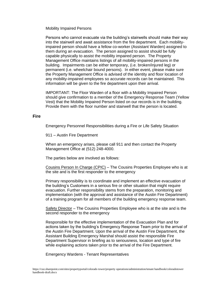Mobility Impaired Persons

Persons who cannot evacuate via the building's stairwells should make their way into the stairwell and await assistance from the fire department. Each mobilityimpaired person should have a fellow co-worker (Assistant Warden) assigned to them during an evacuation. The person assigned to assist should be fully capable physically to assist the mobility impaired person. The Property Management Office maintains listings of all mobility-impaired persons in the building. Impairments can be either temporary, (i.e. broken/injured leg) or permanent (i.e. wheelchair bound persons). In either event, please make sure the Property Management Office is advised of the identity and floor location of any mobility-impaired employees so accurate records can be maintained. This information will be given to the fire department upon their arrival.

IMPORTANT: The Floor Warden of a floor with a Mobility Impaired Person should give confirmation to a member of the Emergency Response Team (Yellow Vest) that the Mobility Impaired Person listed on our records is in the building. Provide them with the floor number and stairwell that the person is located.

#### **Fire**

Emergency Personnel Responsibilities during a Fire or Life Safety Situation

911 – Austin Fire Department

When an emergency arises, please call 911 and then contact the Property Management Office at (512) 248-4000.

The parties below are involved as follows:

Cousins Person In Charge (CPIC) – The Cousins Properties Employee who is at the site and is the first responder to the emergency

Primary responsibility is to coordinate and implement an effective evacuation of the building's Customers in a serious fire or other situation that might require evacuation. Further responsibility stems from the preparation, monitoring and implementation (with the approval and assistance of the Austin Fire Department) of a training program for all members of the building emergency response team.

Safety Director - The Cousins Properties Employee who is at the site and is the second responder to the emergency

Responsible for the effective implementation of the Evacuation Plan and for actions taken by the building's Emergency Response Team prior to the arrival of the Austin Fire Department. Upon the arrival of the Austin Fire Department, the Assistant Building Emergency Marshal should assist the responsible Fire Department Supervisor in briefing as to seriousness, location and type of fire while explaining actions taken prior to the arrival of the Fire Department.

Emergency Wardens - Tenant Representatives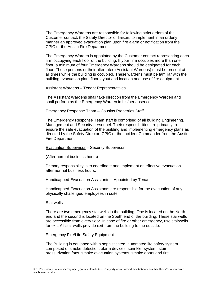The Emergency Wardens are responsible for following strict orders of the Customer contact, the Safety Director or liaison, to implement in an orderly manner an approved evacuation plan upon fire alarm or notification from the CPIC or the Austin Fire Department.

The Emergency Warden is appointed by the Customer contact representing each firm occupying each floor of the building. If your firm occupies more than one floor, a minimum of four Emergency Wardens should be designated for each floor. Those persons or their alternates (Assistant Wardens) must be present at all times while the building is occupied. These wardens must be familiar with the building evacuation plan, floor layout and location and use of fire equipment.

Assistant Wardens – Tenant Representatives

The Assistant Wardens shall take direction from the Emergency Warden and shall perform as the Emergency Warden in his/her absence.

Emergency Response Team – Cousins Properties Staff

The Emergency Response Team staff is comprised of all building Engineering, Management and Security personnel. Their responsibilities are primarily to ensure the safe evacuation of the building and implementing emergency plans as directed by the Safety Director, CPIC or the Incident Commander from the Austin Fire Department.

Evacuation Supervisor – Security Supervisor

(After normal business hours)

Primary responsibility is to coordinate and implement an effective evacuation after normal business hours.

Handicapped Evacuation Assistants – Appointed by Tenant

Handicapped Evacuation Assistants are responsible for the evacuation of any physically challenged employees in suite.

#### **Stairwells**

There are two emergency stairwells in the building. One is located on the North end and the second is located on the South end of the building. These stairwells are accessible from every floor. In case of fire or other emergency, use stairwells for exit. All stairwells provide exit from the building to the outside.

Emergency Fire/Life Safety Equipment

The Building is equipped with a sophisticated, automated life safety system composed of smoke detection, alarm devices, sprinkler system, stair pressurization fans, smoke evacuation systems, smoke doors and fire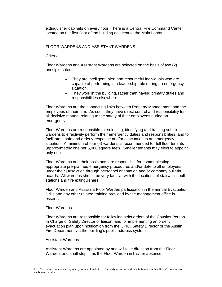extinguisher cabinets on every floor. There is a Central Fire Command Center located on the first floor of the building adjacent to the Main Lobby.

### FLOOR WARDENS AND ASSISTANT WARDENS

#### **Criteria**

Floor Wardens and Assistant Wardens are selected on the basis of two (2) principle criteria:

- They are intelligent, alert and resourceful individuals who are capable of performing in a leadership role during an emergency situation.
- They work in the building, rather than having primary duties and responsibilities elsewhere.

Floor Wardens are the connecting links between Property Management and the employees of their firm. As such, they have direct control and responsibility for all decisive matters relating to the safety of their employees during an emergency.

Floor Wardens are responsible for selecting, identifying and training sufficient wardens to effectively perform their emergency duties and responsibilities, and to facilitate a safe and orderly response and/or evacuation in an emergency situation. A minimum of four (4) wardens is recommended for full floor tenants (approximately one per 5,000 square feet). Smaller tenants may elect to appoint only one.

Floor Wardens and their assistants are responsible for communicating appropriate pre-planned emergency procedures and/or date to all employees under their jurisdiction through personnel orientation and/or company bulletin boards. All wardens should be very familiar with the locations of stairwells, pull stations and fire extinguishers.

Floor Warden and Assistant Floor Warden participation in the annual Evacuation Drills and any other related training provided by the management office is essential.

#### Floor Wardens

Floor Wardens are responsible for following strict orders of the Cousins Person In Charge or Safety Director or liaison, and for implementing an orderly evacuation plan upon notification from the CPIC, Safety Director or the Austin Fire Department via the building's public address system.

#### Assistant Wardens

Assistant Wardens are appointed by and will take direction from the Floor Warden, and shall step in as the Floor Warden in his/her absence.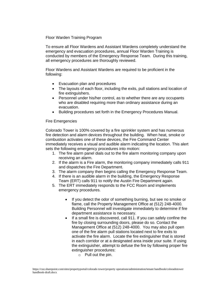Floor Warden Training Program

To ensure all Floor Wardens and Assistant Wardens completely understand the emergency and evacuation procedures, annual Floor Warden Training is conducted by members of the Emergency Response Team. During this training, all emergency procedures are thoroughly reviewed.

Floor Wardens and Assistant Wardens are required to be proficient in the following:

- Evacuation plan and procedures
- The layouts of each floor, including the exits, pull stations and location of fire extinguishers.
- Personnel under his/her control, as to whether there are any occupants who are disabled requiring more than ordinary assistance during an evacuation.
- Building procedures set forth in the Emergency Procedures Manual.

### Fire Emergencies

Colorado Tower is 100% covered by a fire sprinkler system and has numerous fire detection and alarm devices throughout the building. When heat, smoke or combustion activates one of these devices, the Fire Command Center immediately receives a visual and audible alarm indicating the location. This alert sets the following emergency procedures into motion:

- 1. The fire alarm panel dials out to the fire alarm monitoring company upon receiving an alarm.
- 2. If the alarm is a Fire alarm, the monitoring company immediately calls 911 and dispatches the Fire Department.
- 3. The alarm company then begins calling the Emergency Response Team.
- 4. If there is an audible alarm in the building, the Emergency Response Team (ERT) calls 911 to notify the Austin Fire Department again.
- 5. The ERT immediately responds to the FCC Room and implements emergency procedures.
	- If you detect the odor of something burning, but see no smoke or flame, call the Property Management Office at (512) 248-4000. Building Personnel will investigate immediately to determine if fire department assistance is necessary.
	- If a small fire is discovered, call 911. If you can safely confine the fire by closing surrounding doors, please do so. Contact the Management Office at (512) 248-4000. You may also pull open one of the fire alarm pull stations located next to fire exits to activate the fire alarm. Locate the fire extinguisher that is stored in each corridor or at a designated area inside your suite. If using the extinguisher, attempt to defuse the fire by following proper fire extinguisher procedures:
		- $\circ$  Pull out the pin.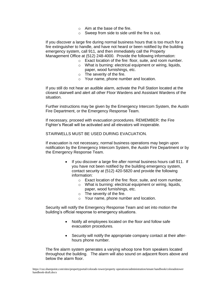- o Aim at the base of the fire.
- o Sweep from side to side until the fire is out.

If you discover a large fire during normal business hours that is too much for a fire extinguisher to handle, and have not heard or been notified by the building emergency system, call 911, and then immediately call the Property Management Office at (512) 248-4000. Provide the following information:

- o Exact location of the fire: floor, suite, and room number.
- o What is burning: electrical equipment or wiring, liquids, paper, wood furnishings, etc.
- o The severity of the fire.
- o Your name, phone number and location.

If you still do not hear an audible alarm, activate the Pull Station located at the closest stairwell and alert all other Floor Wardens and Assistant Wardens of the situation.

Further instructions may be given by the Emergency Intercom System, the Austin Fire Department, or the Emergency Response Team.

If necessary, proceed with evacuation procedures. REMEMBER: the Fire Fighter's Recall will be activated and all elevators will inoperable.

STAIRWELLS MUST BE USED DURING EVACUATION.

If evacuation is not necessary, normal business operations may begin upon notification by the Emergency Intercom System, the Austin Fire Department or by the Emergency Response Team.

- If you discover a large fire after normal business hours call 911. If you have not been notified by the building emergency system, contact security at (512) 420-5820 and provide the following information:
	- o Exact location of the fire: floor, suite, and room number.
	- o What is burning: electrical equipment or wiring, liquids, paper, wood furnishings, etc.
	- o The severity of the fire.
	- o Your name, phone number and location.

Security will notify the Emergency Response Team and set into motion the building's official response to emergency situations.

- Notify all employees located on the floor and follow safe evacuation procedures.
- Security will notify the appropriate company contact at their afterhours phone number.

The fire alarm system generates a varying whoop tone from speakers located throughout the building. The alarm will also sound on adjacent floors above and below the alarm floor.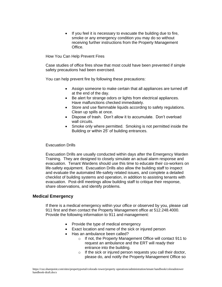If you feel it is necessary to evacuate the building due to fire, smoke or any emergency condition you may do so without receiving further instructions from the Property Management Office.

How You Can Help Prevent Fires

Case studies of office fires show that most could have been prevented if simple safety precautions had been exercised.

You can help prevent fire by following these precautions:

- Assign someone to make certain that all appliances are turned off at the end of the day.
- Be alert for strange odors or lights from electrical appliances. Have malfunctions checked immediately.
- Store and use flammable liquids according to safety regulations. Clean up spills at once.
- Dispose of trash. Don't allow it to accumulate. Don't overload wall circuits.
- Smoke only where permitted. Smoking is not permitted inside the Building or within 25' of building entrances.

#### Evacuation Drills

Evacuation Drills are usually conducted within days after the Emergency Warden Training. They are designed to closely simulate an actual alarm response and evacuation. Tenant Wardens should use this time to educate their co-workers on life-safety equipment. Evacuation Drills also allow the building staff to inspect and evaluate the automated life-safety related issues, and complete a detailed checklist of building systems and operation, in addition to assisting tenants with evacuation. Post-drill meetings allow building staff to critique their response, share observations, and identify problems.

## **Medical Emergency**

If there is a medical emergency within your office or observed by you, please call 911 first and then contact the Property Management office at 512.248.4000. Provide the following information to 911 and management:

- Provide the type of medical emergency
- Exact location and name of the sick or injured person
- Has an ambulance been called?
	- o If not, the Property Management Office will contact 911 to request an ambulance and the ERT will ready their entrance into the building.
	- $\circ$  If the sick or injured person requests you call their doctor, please do, and notify the Property Management Office so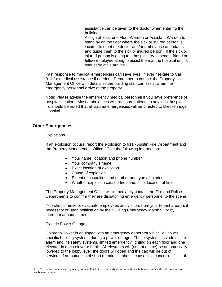assistance can be given to the doctor when entering the building.

o Assign at least one Floor Warden or Assistant Warden to stand by on the floor where the sick or injured person is located to meet the doctor and/or ambulance attendants, and guide them to the sick or injured person. If the sick or injured person is going to a hospital, try to send a friend or fellow employee along to assist them at the hospital until a spouse/relative arrives.

Fast response to medical emergencies can save lives. Never hesitate to Call 911 for medical assistance if needed. Remember to contact the Property Management Office with details so the building staff can assist when the emergency personnel arrive at the property.

Note: Please advise the emergency medical personnel if you have preference of hospital location. Most ambulances will transport patients to any local hospital. To should be noted that all trauma emergencies will be directed to Breckenridge Hospital.

## **Other Emergencies**

#### **Explosions**

If an explosion occurs, report the explosion to 911 - Austin Fire Department and the Property Management Office. Give the following information:

- Your name, location and phone number
- Your company's name
- Exact location of explosion
- Cause of explosion
- Extent of casualties and number and type of injuries
- Whether explosion caused fires and, if so, location of fire

The Property Management Office will immediately contact the Fire and Police Departments to confirm they are dispatching emergency personnel to the scene.

You should move or evacuate employees and visitors from your tenant area(s), if necessary or upon notification by the Building Emergency Marshall, or by intercom announcement.

#### Electric Power Outage

Colorado Tower is equipped with an emergency generator which will power specific building systems during a power outage. These systems include all fire alarm and life safety systems, limited emergency lighting on each floor and one elevator in each elevator bank. All elevators will (one at a time) be automatically lowered to the lobby level, the doors will open and the cab will be out of service. If an outage is of short duration, it should cause little concern. If it is of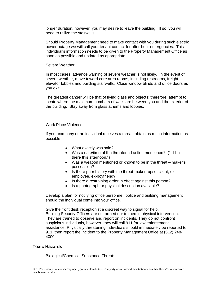longer duration, however, you may desire to leave the building. If so, you will need to utilize the stairwells.

Should Property Management need to make contact with you during such electric power outage we will call your tenant contact for after-hour emergencies. This individual's information needs to be given to the Property Management Office as soon as possible and updated as appropriate.

#### Severe Weather

In most cases, advance warning of severe weather is not likely. In the event of severe weather, move toward core area rooms, including restrooms, freight elevator lobbies and building stairwells. Close window blinds and office doors as you exit.

The greatest danger will be that of flying glass and objects; therefore, attempt to locate where the maximum numbers of walls are between you and the exterior of the building. Stay away from glass atriums and lobbies.

#### Work Place Violence

If your company or an individual receives a threat, obtain as much information as possible:

- What exactly was said?
- Was a date/time of the threatened action mentioned? ("I'll be there this afternoon.")
- Was a weapon mentioned or known to be in the threat maker's possession?
- Is there prior history with the threat-maker; upset client, exemployee, ex-boyfriend?
- Is there a restraining order in effect against this person?
- Is a photograph or physical description available?

Develop a plan for notifying office personnel, police and building management should the individual come into your office.

Give the front desk receptionist a discreet way to signal for help. Building Security Officers are not armed nor trained in physical intervention. They are trained to observe and report on incidents. They do not confront suspicious individuals, however, they will call 911 for law enforcement assistance. Physically threatening individuals should immediately be reported to 911, then report the incident to the Property Management Office at (512) 248- 4000.

## **Toxic Hazards**

Biological/Chemical Substance Threat: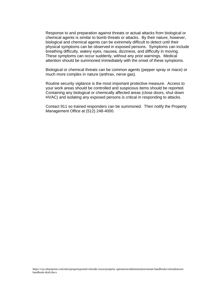Response to and preparation against threats or actual attacks from biological or chemical agents is similar to bomb threats or attacks. By their nature, however, biological and chemical agents can be extremely difficult to detect until their physical symptoms can be observed in exposed persons. Symptoms can include breathing difficulty, watery eyes, nausea, dizziness, and difficulty in moving. These symptoms can occur suddenly, without any prior warnings. Medical attention should be summoned immediately with the onset of these symptoms.

Biological or chemical threats can be common agents (pepper spray or mace) or much more complex in nature (anthrax, nerve gas).

Routine security vigilance is the most important protective measure. Access to your work areas should be controlled and suspicious items should be reported. Containing any biological or chemically affected areas (close doors, shut down HVAC) and isolating any exposed persons is critical in responding to attacks.

Contact 911 so trained responders can be summoned. Then notify the Property Management Office at (512) 248-4000.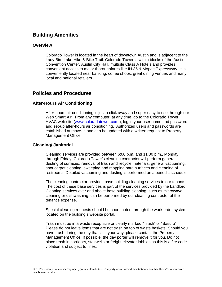# **Building Amenities**

## **Overview**

Colorado Tower is located in the heart of downtown Austin and is adjacent to the Lady Bird Lake Hike & Bike Trail. Colorado Tower is within blocks of the Austin Convention Center, Austin City Hall, multiple Class A Hotels and provides convenient access to major thoroughfares like IH-35 & Mopac Expressway. It is conveniently located near banking, coffee shops, great dining venues and many local and national retailers.

# **Policies and Procedures**

## **After-Hours Air Conditioning**

After-hours air conditioning is just a click away and super easy to use through our Web Smart Air. From any computer, at any time, go to the Colorado Tower HVAC web site [\(www.coloradotower.com](http://www.coloradotower.com/) ), log in your user name and password and set-up after-hours air conditioning. Authorized users and passwords are established at move-in and can be updated with a written request to Property Management Office.

## **Cleaning/ Janitorial**

Cleaning services are provided between 6:00 p.m. and 11:00 p.m., Monday through Friday. Colorado Tower's cleaning contractor will perform general dusting of surfaces, removal of trash and recycle materials, general vacuuming, spot carpet cleaning, sweeping and mopping hard surfaces and cleaning of restrooms. Detailed vacuuming and dusting is performed on a periodic schedule.

The cleaning contractor provides base building cleaning services to our tenants. The cost of these base services is part of the services provided by the Landlord. Cleaning services over and above base building cleaning, such as microwave cleaning or dishwashing, can be performed by our cleaning contractor at the tenant's expense.

Special cleaning requests should be coordinated through the work order system located on the building's website portal.

Trash must be in a waste receptacle or clearly marked "Trash" or "Basura". Please do not leave items that are not trash on top of waste baskets. Should you have trash during the day that is in your way, please contact the Property Management Office. If possible, the day porter will remove it for you. Do not place trash in corridors, stairwells or freight elevator lobbies as this is a fire code violation and subject to fines.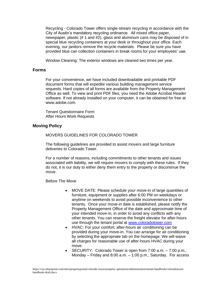Recycling - Colorado Tower offers single-stream recycling in accordance with the City of Austin's mandatory recycling ordinance. All mixed office paper, newspaper, plastic (# 1 and #2), glass and aluminum cans may be disposed of in special blue recycling containers at your desk or throughout your office. Each evening, our janitors remove the recycle materials. Please be sure you have provided blue can collection containers in break rooms for your employees' use.

Window Cleaning: The exterior windows are cleaned two times per year.

### **Forms**

For your convenience, we have included downloadable and printable PDF document forms that will expedite various building management service requests. Hard copies of all forms are available from the Property Management Office as well. To view and print PDF files, you need the Adobe Acrobat Reader software. If not already installed on your computer, it can be obtained for free at www.adobe.com.

Tenant Questionnaire Form After Hours Work Requests

## **Moving Policy**

MOVERS GUIDELINES FOR COLORADO TOWER

The following guidelines are provided to assist movers and large furniture deliveries to Colorado Tower.

For a number of reasons, including commitments to other tenants and issues associated with liability, we will require movers to comply with these rules. If they do not, it is our duty to either deny them entry to the property or discontinue the move.

Before The Move

- MOVE DATE: Please schedule your move-in of large quantities of furniture, equipment or supplies after 6:00 PM on weekdays or anytime on weekends to avoid possible inconvenience to other tenants. Once your move-in date is established, please notify the Property Management Office of the date and approximate time of your intended move-in, in order to avoid any conflicts with any other tenants. You can reserve the freight elevator for after-hours use through the tenant portal at [www.coloradotower.com](http://www.coloradotower.com/)
- HVAC: For your comfort, after-hours air conditioning can be provided during your move-in. You can arrange for air conditioning by selecting the appropriate tab on the homepage. We will waive all charges for reasonable use of after-hours HVAC during your move.
- SECURITY: Colorado Tower is open from 7:00 a.m. 7:00 p.m., Monday – Friday and 8:00 a.m. – 1:00 p.m., Saturday. For access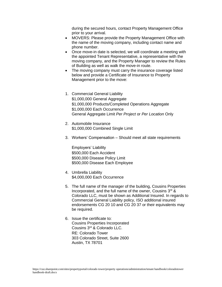during the secured hours, contact Property Management Office prior to your arrival.

- MOVERS: Please provide the Property Management Office with the name of the moving company, including contact name and phone number.
- Once move-in date is selected, we will coordinate a meeting with the appointed Tenant Representative, a representative with the moving company, and the Property Manager to review the Rules of Building as well as walk the move-in route.
- The moving company must carry the insurance coverage listed below and provide a Certificate of Insurance to Property Management prior to the move:
- 1. Commercial General Liability \$1,000,000 General Aggregate \$1,000,000 Products/Completed Operations Aggregate \$1,000,000 Each Occurrence General Aggregate Limit *Per Project* or *Per Location* Only
- 2. Automobile Insurance \$1,000,000 Combined Single Limit
- 3. Workers' Compensation Should meet all state requirements

Employers' Liability \$500,000 Each Accident \$500,000 Disease Policy Limit \$500,000 Disease Each Employee

- 4. Umbrella Liability \$4,000,000 Each Occurrence
- 5. The full name of the manager of the building, Cousins Properties Incorporated, and the full name of the owner, Cousins 3rd & Colorado LLC, must be shown as Additional Insured. In regards to Commercial General Liability policy, ISO additional insured endorsements CG 20 10 and CG 20 37 or their equivalents may be required.
- 6. Issue the certificate to: Cousins Properties Incorporated Cousins 3rd & Colorado LLC. RE: Colorado Tower 303 Colorado Street, Suite 2600 Austin, TX 78701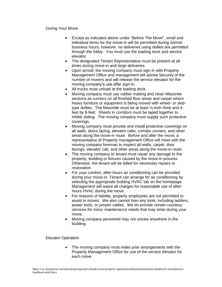#### During Your Move

- Except as indicated above under "Before The Move", small and individual items for the move-in will be permitted during normal business hours; however, no deliveries using dollies are permitted through the lobby. You must use the loading dock and service elevator.
- The designated Tenant Representative must be present at all times during move-in and large deliveries.
- Upon arrival, the moving company must sign in with Property Management Office and management will advise Security of the number of movers and will release the service elevator for the moving company's use after sign-in.
- All trucks must unload at the loading dock.
- Moving company must use rubber matting and clean Masonite sections as runners on all finished floor areas and carpet where heavy furniture or equipment is being moved with wheel- or skidtype dollies. The Masonite must be at least ¼-inch think and 4 feet by 8-feet. Sheets in corridors must be taped together to inhibit sliding. The moving company must supply such protective coverings.
- Moving company must provide and install protective coverings on all walls, doors facing, elevator cabs, corridor corners, and other areas along the move-in route. Before and after the move, a representative of Property management Office will meet with the moving company foreman to inspect all walls, carpet, door facings, elevator cab, and other areas along the move-in route.
- The moving company or tenant must repair any damage to the property, building or fixtures caused by the move-in process. Otherwise, the tenant will be billed for necessary repairs or restoration.
- For your comfort, after-hours air conditioning can be provided during your move-in. Tenant can arrange for air conditioning by selecting the appropriate building HVAC tab on the homepage. Management will waive all charges for reasonable use of afterhours HVAC during the move.
- For reasons of liability, property employees are not permitted to assist in moves. We also cannot loan any tools, including ladders, power tools, or jumper cables. We do provide certain courtesy services for minor maintenance needs that may arise during your move.
- Moving company personnel may not smoke anywhere in the building.

#### Elevator Operation

The moving company must make prior arrangements with the Property Management Office for use of the service elevator for each move.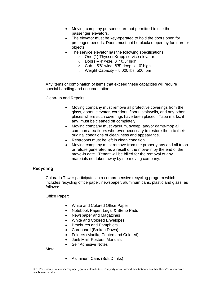- Moving company personnel are not permitted to use the passenger elevators.
- The elevator must be key-operated to hold the doors open for prolonged periods. Doors must not be blocked open by furniture or objects.
- The service elevator has the following specifications:
	- o One (1) ThyssenKrupp service elevator:
	- $\circ$  Doors 4' wide, 8' 10.5" high
	- $\circ$  Cab 5'8" wide, 8'5" deep, x 10' high
	- $\circ$  Weight Capacity 5,000 lbs, 500 fpm

Any items or combination of items that exceed these capacities will require special handling and documentation.

Clean-up and Repairs

- Moving company must remove all protective coverings from the glass, doors, elevator, corridors, floors, stairwells, and any other places where such coverings have been placed. Tape marks, if any, must be cleaned off completely.
- Moving company must vacuum, sweep, and/or damp-mop all common area floors wherever necessary to restore them to their original conditions of cleanliness and appearance.
- Restrooms must be left in clean condition.
- Moving company must remove from the property any and all trash or refuse generated as a result of the move-in by the end of the move-in date. Tenant will be billed for the removal of any materials not taken away by the moving company.

## **Recycling**

Colorado Tower participates in a comprehensive recycling program which includes recycling office paper, newspaper, aluminum cans, plastic and glass, as follows:

Office Paper:

- White and Colored Office Paper
- Notebook Paper, Legal & Steno Pads
- Newspaper and Magazines
- White and Colored Envelopes
- Brochures and Pamphlets
- Cardboard (Broken Down)
- Folders (Manila, Coated and Colored)
- Junk Mail, Posters, Manuals
- Self Adhesive Notes

Metal:

• Aluminum Cans (Soft Drinks)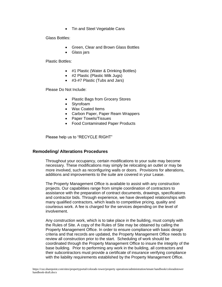• Tin and Steel Vegetable Cans

Glass Bottles:

- Green, Clear and Brown Glass Bottles
- Glass jars

Plastic Bottles:

- #1 Plastic (Water & Drinking Bottles)
- #2 Plastic (Plastic Milk Jugs)
- #3-#7 Plastic (Tubs and Jars)

Please Do Not Include:

- Plastic Bags from Grocery Stores
- Styrofoam
- Wax Coated Items
- Carbon Paper, Paper Ream Wrappers
- Paper Towels/Tissues
- Food Contaminated Paper Products

Please help us to "RECYCLE RIGHT"

## **Remodeling/ Alterations Procedures**

Throughout your occupancy, certain modifications to your suite may become necessary. These modifications may simply be relocating an outlet or may be more involved, such as reconfiguring walls or doors. Provisions for alterations, additions and improvements to the suite are covered in your Lease.

The Property Management Office is available to assist with any construction projects. Our capabilities range from simple coordination of contractors to assistance with the preparation of contract documents, drawings, specifications and contractor bids. Through experience, we have developed relationships with many qualified contractors, which leads to competitive pricing, quality and courteous work. A fee is charged for the services depending on the level of involvement.

Any construction work, which is to take place in the building, must comply with the Rules of Site. A copy of the Rules of Site may be obtained by calling the Property Management Office. In order to ensure compliance with basic design criteria and that records are updated, the Property Management Office needs to review all construction prior to the start. Scheduling of work should be coordinated through the Property Management Office to insure the integrity of the base building. Prior to performing any work in the building, all contractors and their subcontractors must provide a certificate of insurance verifying compliance with the liability requirements established by the Property Management Office.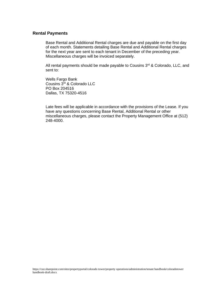#### **Rental Payments**

Base Rental and Additional Rental charges are due and payable on the first day of each month. Statements detailing Base Rental and Additional Rental charges for the next year are sent to each tenant in December of the preceding year. Miscellaneous charges will be invoiced separately.

All rental payments should be made payable to Cousins  $3<sup>rd</sup>$  & Colorado, LLC, and sent to:

Wells Fargo Bank Cousins 3rd & Colorado LLC PO Box 204516 Dallas, TX 75320-4516

Late fees will be applicable in accordance with the provisions of the Lease. If you have any questions concerning Base Rental, Additional Rental or other miscellaneous charges, please contact the Property Management Office at (512) 248-4000.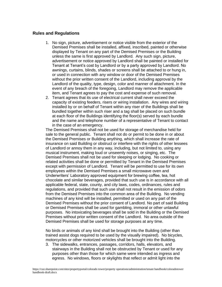## **Rules and Regulations**

- 1. No sign, picture, advertisement or notice visible from the exterior of the Demised Premises shall be installed, affixed, inscribed, painted or otherwise displayed by Tenant on any part of the Demised Premises or the Building unless the same is first approved by Landlord. Any such sign, picture, advertisement or notice approved by Landlord shall be painted or installed for Tenant at Tenant's cost by Landlord or by a party approved by Landlord. No awnings, curtains, blinds, shades or screens shall be attached to or hung in, or used in connection with any window or door of the Demised Premises without the prior written consent of the Landlord, including approval by the Landlord of the quality, type, design, color and manner of attachment. In the event of any breach of the foregoing, Landlord may remove the applicable item, and Tenant agrees to pay the cost and expense of such removal.
- 2. Tenant agrees that its use of electrical current shall never exceed the capacity of existing feeders, risers or wiring installation. Any wires and wiring installed by or on behalf of Tenant within any riser of the Buildings shall be bundled together within such riser and a tag shall be placed on such bundle at each floor of the Buildings identifying the floor(s) served by each bundle and the name and telephone number of a representative of Tenant to contact in the case of an emergency.

The Demised Premises shall not be used for storage of merchandise held for sale to the general public. Tenant shall not do or permit to be done in or about the Demised Premises or Building anything, which shall increase the rate of insurance on said Building or obstruct or interfere with the rights of other lessees of Landlord or annoy them in any way, including, but not limited to, using any musical instrument, making loud or unseemly noises, or singing, etc. The Demised Premises shall not be used for sleeping or lodging. No cooking or related activities shall be done or permitted by Tenant in the Demised Premises except with permission of Landlord. Tenant will be permitted to use for its own employees within the Demised Premises a small microwave oven and Underwriters' Laboratory approved equipment for brewing coffee, tea, hot chocolate and similar beverages, provided that such use is in accordance with all applicable federal, state, county, and city laws, codes, ordinances, rules and regulations, and provided that such use shall not result in the emission of odors from the Demised Premises into the common area of the Building. No vending machines of any kind will be installed, permitted or used on any part of the Demised Premises without the prior consent of Landlord. No part of said Building or Demised Premises shall be used for gambling, immoral or other unlawful purposes. No intoxicating beverages shall be sold in the Building or the Demised Premises without prior written consent of the Landlord. No area outside of the Demised Premises shall be used for storage purposes at any time.

No birds or animals of any kind shall be brought into the Building (other than trained assist dogs required to be used by the visually impaired). No bicycles, motorcycles or other motorized vehicles shall be brought into the Building.

3. The sidewalks, entrances, passages, corridors, halls, elevators, and stairways in the Building shall not be obstructed by Tenant or used for any purposes other than those for which same were intended as ingress and egress. No windows, floors or skylights that reflect or admit light into the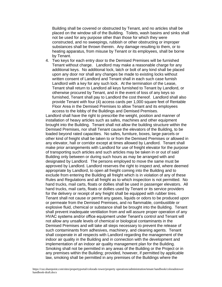Building shall be covered or obstructed by Tenant, and no articles shall be placed on the window sill of the Building. Toilets, wash basins and sinks shall not be used for any purpose other than those for which they were constructed, and no sweepings, rubbish or other obstructing or improper substances shall be thrown therein. Any damage resulting to them, or to heating apparatus, from misuse by Tenant or its employees, shall be borne by Tenant.

4. Two keys for each entry door to the Demised Premises will be furnished Tenant without charge. Landlord may make a reasonable charge for any additional keys. No additional lock, latch or bolt of any kind shall be placed upon any door nor shall any changes be made to existing locks without written consent of Landlord and Tenant shall in each such case furnish Landlord with a key for any such lock. At the termination of the Lease, Tenant shall return to Landlord all keys furnished to Tenant by Landlord, or otherwise procured by Tenant, and in the event of loss of any keys so furnished, Tenant shall pay to Landlord the cost thereof. Landlord shall also provide Tenant with four (4) access cards per 1,000 square feet of Rentable Floor Area in the Demised Premises to allow Tenant and its employees access to the lobby of the Buildings and Demised Premises.

Landlord shall have the right to prescribe the weight, position and manner of installation of heavy articles such as safes, machines and other equipment brought into the Building. Tenant shall not allow the building structure within the Demised Premises, nor shall Tenant cause the elevators of the Building, to be loaded beyond rated capacities. No safes, furniture, boxes, large parcels or other kind of freight shall be taken to or from the Demised Premises or allowed in any elevator, hall or corridor except at times allowed by Landlord. Tenant shall make prior arrangements with Landlord for use of freight elevator for the purpose of transporting such articles and such articles may be taken in or out of said Building only between or during such hours as may be arranged with and designated by Landlord. The persons employed to move the same must be approved by Landlord. Landlord reserves the right to inspect and, where deemed appropriate by Landlord, to open all freight coming into the Building and to exclude from entering the Building all freight which is in violation of any of these Rules and Regulations and all freight as to which inspection is not permitted. No hand trucks, mail carts, floats or dollies shall be used in passenger elevators. All hand trucks, mail carts, floats or dollies used by Tenant or its service providers for the delivery or receipt of any freight shall be equipped with rubber tires. Tenant shall not cause or permit any gases, liquids or odors to be produced upon or permeate from the Demised Premises, and no flammable, combustible or explosive fluid, chemical or substance shall be brought into the Building. Tenant shall prevent inadequate ventilation from and will assure proper operation of any HVAC systems and/or office equipment under Tenant's control and Tenant will not allow any unsafe levels of chemical or biological contaminants in the Demised Premises and will take all steps necessary to prevent the release of such contaminants from adhesives, machinery, and cleaning agents. Tenant shall cooperate in all respects with Landlord regarding the management of the indoor air quality in the Building and in connection with the development and implementation of an indoor air quality management plan for the Building. Smoking shall not be permitted in any areas of the Building or the Project or in any premises within the Building; provided, however, if permitted by applicable law, smoking shall be permitted in any premises of the Buildings where the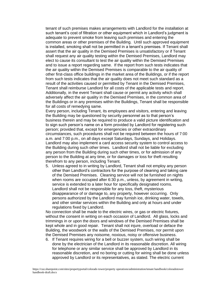tenant of such premises makes arrangements with Landlord for the installation at such tenant's cost of filtration or other equipment which in Landlord's judgment is adequate to prevent smoke from leaving such premises and entering the common areas or other premises of the Building. Until such approved equipment is installed, smoking shall not be permitted in a tenant's premises. If Tenant shall assert that the air quality in the Demised Premises is unsatisfactory or if Tenant shall request any air quality testing within the Demised Premises, Landlord may elect to cause its consultant to test the air quality within the Demised Premises and to issue a report regarding same. If the report from such tests indicates that the air quality within the Demised Premises is comparable to the air quality of other first-class office buildings in the market area of the Buildings, or if the report from such tests indicates that the air quality does not meet such standard as a result of the activities caused or permitted by Tenant in the Demised Premises, Tenant shall reimburse Landlord for all costs of the applicable tests and report. Additionally, in the event Tenant shall cause or permit any activity which shall adversely affect the air quality in the Demised Premises, in the common area of the Buildings or in any premises within the Buildings, Tenant shall be responsible for all costs of remedying same.

Every person, including Tenant, its employees and visitors, entering and leaving the Building may be questioned by security personnel as to that person's business therein and may be required to produce a valid picture identification and to sign such person's name on a form provided by Landlord for registering such person; provided that, except for emergencies or other extraordinary circumstances, such procedures shall not be required between the hours of 7:00 a.m. and 7:00 p.m., on all days except Saturdays, Sundays, and Holidays. Landlord may also implement a card access security system to control access to the Building during such other times. Landlord shall not be liable for excluding any person from the Building during such other times, or for admission of any person to the Building at any time, or for damages or loss for theft resulting therefrom to any person, including Tenant.

5. Unless agreed to in writing by Landlord, Tenant shall not employ any person other than Landlord's contractors for the purpose of cleaning and taking care of the Demised Premises. Cleaning service will not be furnished on nights when rooms are occupied after 6:30 p.m., unless, by agreement in writing, service is extended to a later hour for specifically designated rooms. Landlord shall not be responsible for any loss, theft, mysterious disappearance of or damage to, any property, however occurring. Only persons authorized by the Landlord may furnish ice, drinking water, towels, and other similar services within the Building and only at hours and under regulations fixed by Landlord.

No connection shall be made to the electric wires, or gas or electric fixtures, without the consent in writing on each occasion of Landlord. All glass, locks and trimmings in or upon the doors and windows of the Demised Premises shall be kept whole and in good repair. Tenant shall not injure, overload or deface the Building, the woodwork or the walls of the Demised Premises, nor permit upon the Demised Premises any noisome, noxious, noisy or offensive business.

6. If Tenant requires wiring for a bell or buzzer system, such wiring shall be done by the electrician of the Landlord in its reasonable discretion. All wiring for telephone or any similar service shall be approved by Landlord in its reasonable discretion, and no boring or cutting for wiring shall be done unless approved by Landlord or its representatives, as stated. The electric current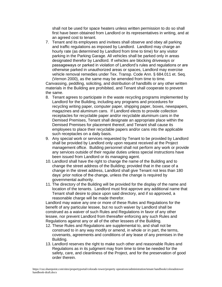shall not be used for space heaters unless written permission to do so shall first have been obtained from Landlord or its representatives in writing, and at an agreed cost to tenant.

7. Tenant and its employees and invitees shall observe and obey all parking and traffic regulations as imposed by Landlord. Landlord may charge an hourly rate (as determined by Landlord from time to time) for any visitor parking in the Parking Garage. All vehicles shall be parked only in areas designated therefor by Landlord. If vehicles are blocking driveways or passageways or parked in violation of Landlord's rules and regulations or are otherwise parked in unauthorized areas or spaces, Landlord may exercise vehicle removal remedies under Tex. Transp. Code Ann. § 684.011 et. Seq. (Vernon 2000), as the same may be amended from time to time.

Canvassing, peddling, soliciting, and distribution of handbills or any other written materials in the Building are prohibited, and Tenant shall cooperate to prevent the same.

- 8. Tenant agrees to participate in the waste recycling programs implemented by Landlord for the Building, including any programs and procedures for recycling writing paper, computer paper, shipping paper, boxes, newspapers, magazines and aluminum cans. If Landlord elects to provide collection receptacles for recyclable paper and/or recyclable aluminum cans in the Demised Premises, Tenant shall designate an appropriate place within the Demised Premises for placement thereof, and Tenant shall cause its employees to place their recyclable papers and/or cans into the applicable such receptacles on a daily basis.
- 9. Any special work or services requested by Tenant to be provided by Landlord shall be provided by Landlord only upon request received at the Project management office. Building personnel shall not perform any work or provide any services outside of their regular duties unless special instructions have been issued from Landlord or its managing agent.
- 10. Landlord shall have the right to change the name of the Building and to change the street address of the Building; provided that in the case of a change in the street address, Landlord shall give Tenant not less than 180 days' prior notice of the change, unless the change is required by governmental authority.
- 11. The directory of the Building will be provided for the display of the name and location of the tenants. Landlord must first approve any additional name that Tenant shall desire to place upon said directory, and if so approved, a reasonable charge will be made therefor.

Landlord may waive any one or more of these Rules and Regulations for the benefit of any particular lessee, but no such waiver by Landlord shall be construed as a waiver of such Rules and Regulations in favor of any other lessee, nor prevent Landlord from thereafter enforcing any such Rules and Regulations against any or all of the other lessees of the Building.

- 12. These Rules and Regulations are supplemental to, and shall not be construed to in any way modify or amend, in whole or in part, the terms, covenants, agreements and conditions of any lease of any premises in the Building.
- 13. Landlord reserves the right to make such other and reasonable Rules and Regulations as in its judgment may from time to time be needed for the safety, care, and cleanliness of the Project, and for the preservation of good order therein.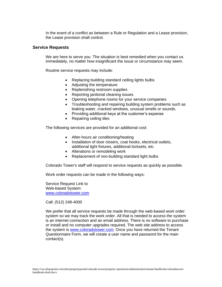In the event of a conflict as between a Rule or Regulation and a Lease provision, the Lease provision shall control.

### **Service Requests**

We are here to serve you. The situation is best remedied when you contact us immediately, no matter how insignificant the issue or circumstance may seem.

Routine service requests may include:

- Replacing building standard ceiling lights bulbs
- Adjusting the temperature
- Replenishing restroom supplies
- Reporting janitorial cleaning issues
- Opening telephone rooms for your service companies
- Troubleshooting and repairing building system problems such as leaking water, cracked windows, unusual smells or sounds.
- Providing additional keys at the customer's expense
- Repairing ceiling tiles

The following services are provided for an additional cost:

- After-hours air conditioning/heating
- Installation of door closers, coat hooks, electrical outlets, additional light fixtures, additional locksets, etc.
- Alterations or remodeling work
- Replacement of non-building standard light bulbs

Colorado Tower's staff will respond to service requests as quickly as possible.

Work order requests can be made in the following ways:

Service Request Link to Web-based System: [www.coloradotower.com](http://www.coloradotower.com/)

Call: (512) 248-4000

We prefer that all service requests be made through the web-based work order system so we may track the work order. All that is needed to access the system is an internet connection and an email address. There is no software to purchase or install and no computer upgrades required. The web site address to access the system is [www.coloradotower.com.](http://www.coloradotower.com/) Once you have returned the Tenant Questionnaire Form, we will create a user name and password for the main contact(s).